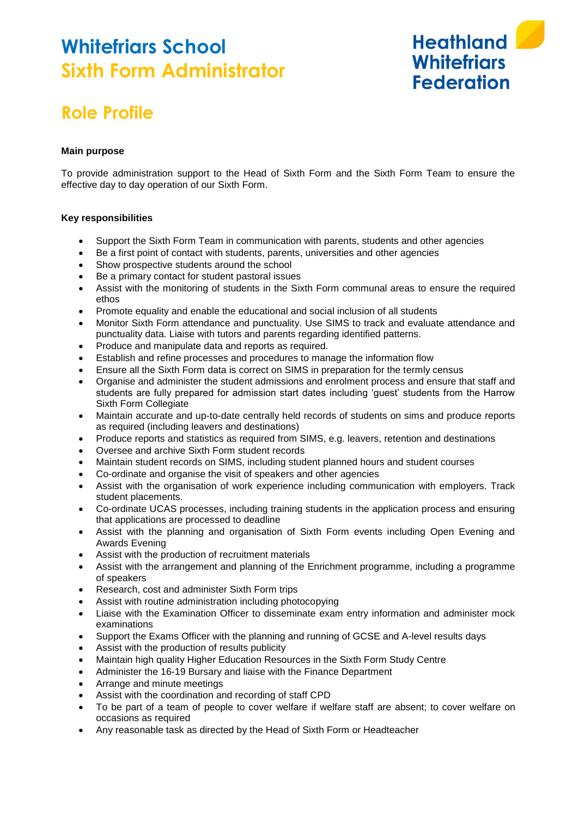## **Whitefriars School Sixth Form Administrator**



### **Role Profile**

#### **Main purpose**

To provide administration support to the Head of Sixth Form and the Sixth Form Team to ensure the effective day to day operation of our Sixth Form.

#### **Key responsibilities**

- Support the Sixth Form Team in communication with parents, students and other agencies
- Be a first point of contact with students, parents, universities and other agencies
- Show prospective students around the school
- Be a primary contact for student pastoral issues
- Assist with the monitoring of students in the Sixth Form communal areas to ensure the required ethos
- Promote equality and enable the educational and social inclusion of all students
- Monitor Sixth Form attendance and punctuality. Use SIMS to track and evaluate attendance and punctuality data. Liaise with tutors and parents regarding identified patterns.
- Produce and manipulate data and reports as required.
- Establish and refine processes and procedures to manage the information flow
- Ensure all the Sixth Form data is correct on SIMS in preparation for the termly census
- Organise and administer the student admissions and enrolment process and ensure that staff and students are fully prepared for admission start dates including 'guest' students from the Harrow Sixth Form Collegiate
- Maintain accurate and up-to-date centrally held records of students on sims and produce reports as required (including leavers and destinations)
- Produce reports and statistics as required from SIMS, e.g. leavers, retention and destinations
- Oversee and archive Sixth Form student records
- Maintain student records on SIMS, including student planned hours and student courses
- Co-ordinate and organise the visit of speakers and other agencies
- Assist with the organisation of work experience including communication with employers. Track student placements.
- Co-ordinate UCAS processes, including training students in the application process and ensuring that applications are processed to deadline
- Assist with the planning and organisation of Sixth Form events including Open Evening and Awards Evening
- Assist with the production of recruitment materials
- Assist with the arrangement and planning of the Enrichment programme, including a programme of speakers
- Research, cost and administer Sixth Form trips
- Assist with routine administration including photocopying
- Liaise with the Examination Officer to disseminate exam entry information and administer mock examinations
- Support the Exams Officer with the planning and running of GCSE and A-level results days
- Assist with the production of results publicity
- Maintain high quality Higher Education Resources in the Sixth Form Study Centre
- Administer the 16-19 Bursary and liaise with the Finance Department
- Arrange and minute meetings
- Assist with the coordination and recording of staff CPD
- To be part of a team of people to cover welfare if welfare staff are absent; to cover welfare on occasions as required
- Any reasonable task as directed by the Head of Sixth Form or Headteacher